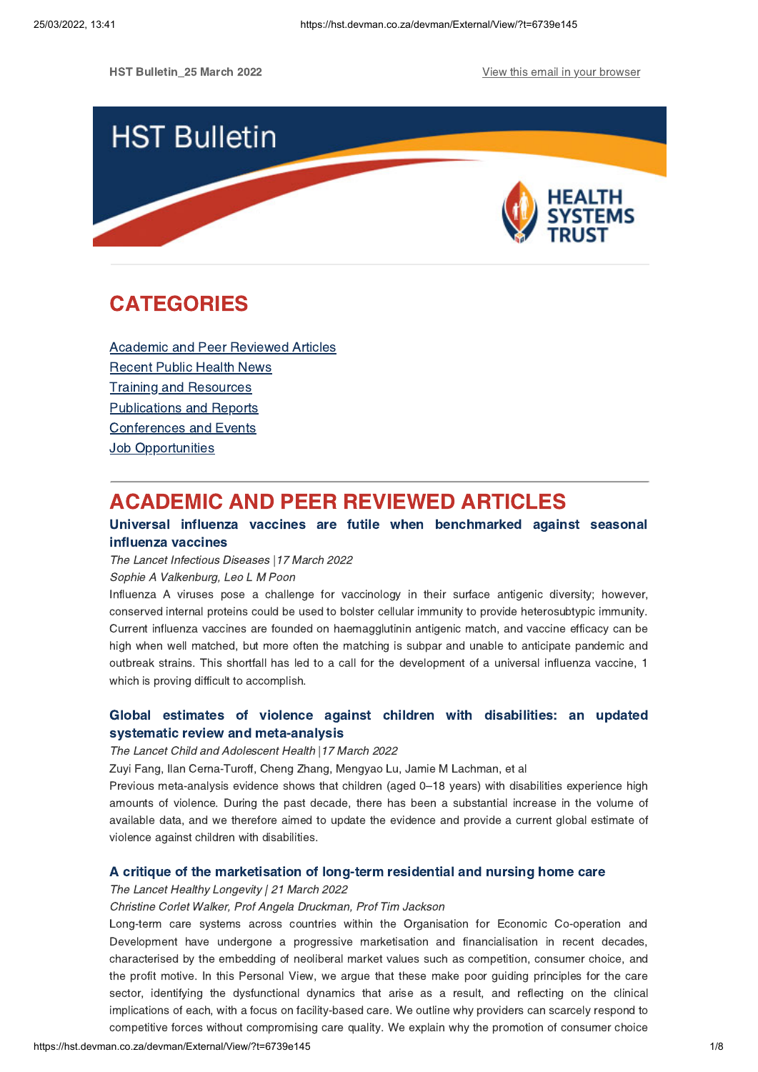

# **CATEGORIES** CATEGORIES<br>CATEGORIES<br>CATEGORIES

Academic and Peer [Reviewed](#page-0-0) Articles [Recent](#page-1-0) Public Health News Training and Resources [Publications](#page-5-0) and Reports [Conferences](#page-6-0) and Events **Job [Opportunities](#page-7-0)** 

# <span id="page-0-0"></span>**ACADEMIC AND PEER REVIEWED ARTICLES**

## Universal influenza vaccines are futile when benchmarked against seasonal influenza vaccines

influenza vaccines The Lancet Infectious Diseases |17 March 2022

### Sophie A Valkenburg, Leo L M Poon

Influenza A viruses pose a challenge for vaccinology in their surface antigenic diversity; however, conserved internal proteins could be used to bolster cellular immunity to provide heterosubtypic immunity. Current influenza vaccines are founded on haemagglutinin antigenic match, and vaccine efficacy can be high when well matched, but more often the matching is subpar and unable to anticipate pandemic and outbreak strains. This shortfall has led to a call for the development of a universal influenza vaccine, 1 which is proving difficult to accomplish.

# Global estimates of violence against children with [disabilities:](https://hst.devman.co.za/devman/external/?t=aa60c2ce) an updated systematic review and meta-analysis

# systematic review and meta-analysis The Lancet Child and Adolescent Health |17 March 2022

Zuyi Fang, Ilan Cerna-Turoff, Cheng Zhang, Mengyao Lu, Jamie M Lachman, et al

Previous meta-analysis evidence shows that children (aged 0–18 years) with disabilities experience high amounts of violence. During the past decade, there has been a substantial increase in the volume of available data, and we therefore aimed to update the evidence and provide a current global estimate of violence against children with disabilities.

A critique of the marketisation of long-term residential and nursing home care The Lancet Healthy Longevity | 21 March 2022

### Christine Corlet Walker, Prof Angela Druckman, Prof Tim Jackson

Long-term care systems across countries within the Organisation for Economic Co-operation and Development have undergone a progressive marketisation and financialisation in recent decades, characterised by the embedding of neoliberal market values such as competition, consumer choice, and the profit motive. In this Personal View, we argue that these make poor guiding principles for the care sector, identifying the dysfunctional dynamics that arise as a result, and reflecting on the clinical implications of each, with a focus on facility-based care. We outline why providers can scarcely respond to competitive forces without compromising care quality. We explain why the promotion of consumer choice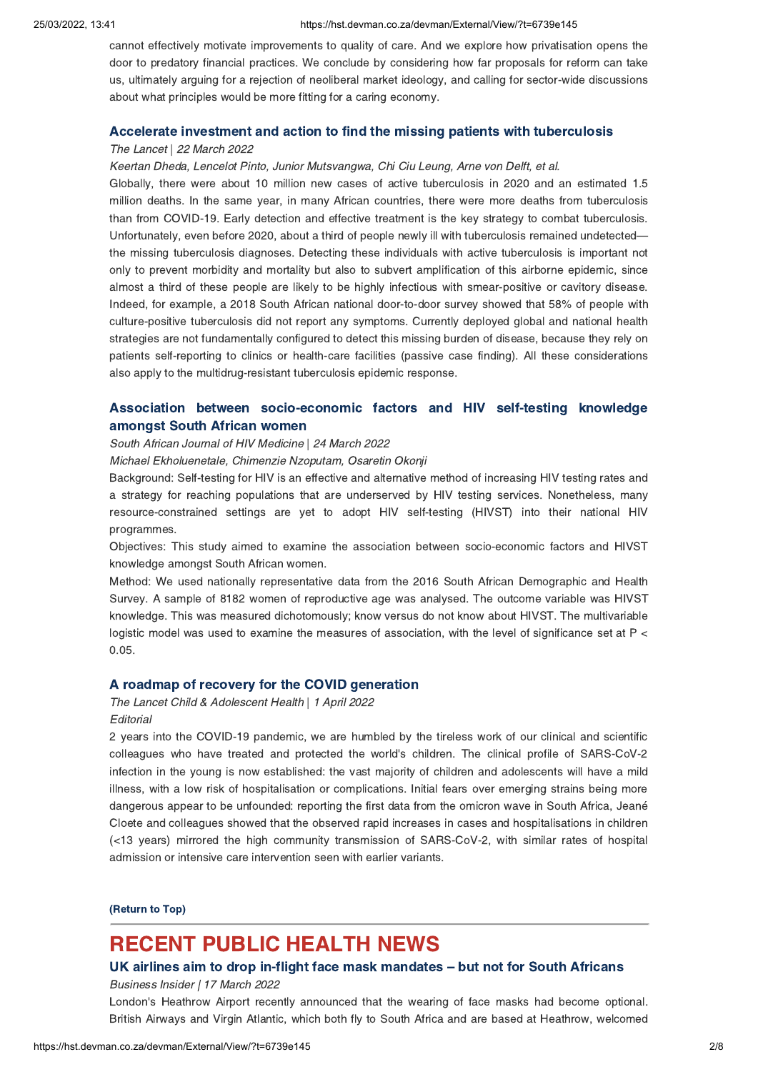cannot effectively motivate improvements to quality of care. And we explore how privatisation opens the door to predatory financial practices. We conclude by considering how far proposals for reform can take us, ultimately arguing for a rejection of neoliberal market ideology, and calling for sector-wide discussions about what principles would be more fitting for a caring economy.

# Accelerate investment and action to find the missing patients with tuberculosis The Lancet | 22 March 2022

Keertan Dheda, Lencelot Pinto, Junior Mutsvangwa, Chi Ciu Leung, Arne von Delft, et al.

Globally, there were about 10 million new cases of active tuberculosis in 2020 and an estimated 1.5 million deaths. In the same year, in many African countries, there were more deaths from tuberculosis than from COVID-19. Early detection and effective treatment is the key strategy to combat tuberculosis. Unfortunately, even before 2020, about a third of people newly ill with tuberculosis remained undetected the missing tuberculosis diagnoses. Detecting these individuals with active tuberculosis is important not only to prevent morbidity and mortality but also to subvert amplification of this airborne epidemic, since almost a third of these people are likely to be highly infectious with smear-positive or cavitory disease. Indeed, for example, a 2018 South African national door-to-door survey showed that 58% of people with culture-positive tuberculosis did not report any symptoms. Currently deployed global and national health strategies are not fundamentally configured to detect this missing burden of disease, because they rely on patients self-reporting to clinics or health-care facilities (passive case finding). All these considerations also apply to the multidrug-resistant tuberculosis epidemic response.

# Association between [socio-economic](https://hst.devman.co.za/devman/external/?t=ca312f) factors and HIV self-testing knowledge

South African Journal of HIV Medicine | 24 March 2022

Michael Ekholuenetale, Chimenzie Nzoputam, Osaretin Okonji

Background: Self-testing for HIV is an effective and alternative method of increasing HIV testing rates and a strategy for reaching populations that are underserved by HIV testing services. Nonetheless, many resource-constrained settings are yet to adopt HIV self-testing (HIVST) into their national HIV programmes.

Objectives: This study aimed to examine the association between socio-economic factors and HIVST knowledge amongst South African women.

Method: We used nationally representative data from the 2016 South African Demographic and Health Survey. A sample of 8182 women of reproductive age was analysed. The outcome variable was HIVST knowledge. This was measured dichotomously; know versus do not know about HIVST. The multivariable logistic model was used to examine the measures of association, with the level of significance set at P < 0.05.

The Lancet Child & Adolescent Health | 1 April 2022 **Editorial** 

2 years into the COVID-19 pandemic, we are humbled by the tireless work of our clinical and scientific colleagues who have treated and protected the world's children. The clinical profile of SARS-CoV-2 infection in the young is now established: the vast majority of children and adolescents will have a mild illness, with a low risk of hospitalisation or complications. Initial fears over emerging strains being more dangerous appear to be unfounded: reporting the first data from the omicron wave in South Africa, Jeané Cloete and colleagues showed that the observed rapid increases in cases and hospitalisations in children (<13 years) mirrored the high community transmission of SARS-CoV-2, with similar rates of hospital admission or intensive care intervention seen with earlier variants.

 $\overline{\phantom{a}}$ 

# <span id="page-1-0"></span>**RECENT PUBLIC HEALTH NEWS**

# UK airlines aim to drop in-flight face mask mandates – but not for South Africans<br>Business Insider | 17 March 2022

### Business Insider | 17 March 2022

London's Heathrow Airport recently announced that the wearing of face masks had become optional. British Airways and Virgin Atlantic, which both fly to South Africa and are based at Heathrow, welcomed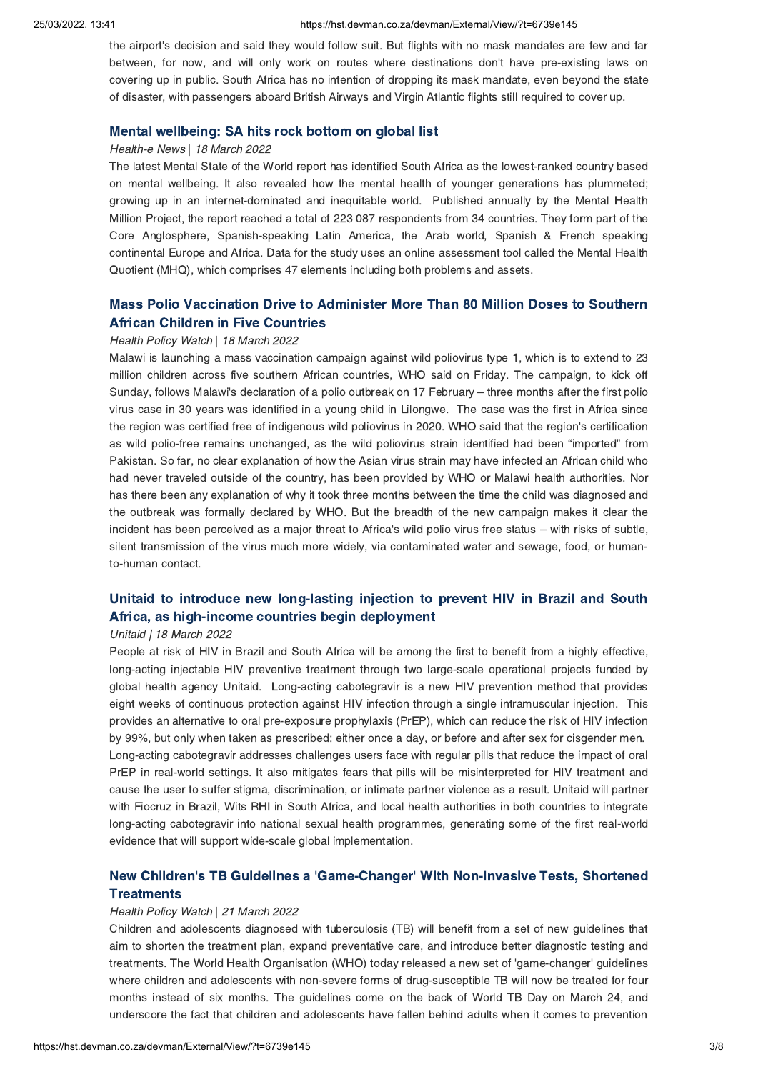the airport's decision and said they would follow suit. But flights with no mask mandates are few and far between, for now, and will only work on routes where destinations don't have pre-existing laws on covering up in public. South Africa has no intention of dropping its mask mandate, even beyond the state of disaster, with passengers aboard British Airways and Virgin Atlantic flights still required to cover up.

# Mental wellbeing: SA hits rock bottom on global list Health-e News | 18 March 2022

The latest Mental State of the World report has identified South Africa as the lowest-ranked country based on mental wellbeing. It also revealed how the mental health of younger generations has plummeted; growing up in an internet-dominated and inequitable world. Published annually by the Mental Health Million Project, the report reached a total of 223 087 respondents from 34 countries. They form part of the Core Anglosphere, Spanish-speaking Latin America, the Arab world, Spanish & French speaking continental Europe and Africa. Data for the study uses an online assessment tool called the Mental Health Quotient (MHQ), which comprises 47 elements including both problems and assets.

## Mass Polio Vaccination Drive to Administer More Than 80 Million Doses to Southern **African Children in Five Countries**

# Health Policy Watch | 18 March 2022

Malawi is launching a mass vaccination campaign against wild poliovirus type 1, which is to extend to 23 million children across five southern African countries, WHO said on Friday. The campaign, to kick off Sunday, follows Malawi's declaration of a polio outbreak on 17 February – three months after the first polio virus case in 30 years was identified in a young child in Lilongwe. The case was the first in Africa since the region was certified free of indigenous wild poliovirus in 2020. WHO said that the region's certification as wild polio-free remains unchanged, as the wild poliovirus strain identified had been "imported" from Pakistan. So far, no clear explanation of how the Asian virus strain may have infected an African child who had never traveled outside of the country, has been provided by WHO or Malawi health authorities. Nor has there been any explanation of why it took three months between the time the child was diagnosed and the outbreak was formally declared by WHO. But the breadth of the new campaign makes it clear the incident has been perceived as a major threat to Africa's wild polio virus free status – with risks of subtle, silent transmission of the virus much more widely, via contaminated water and sewage, food, or humanto-human contact.

# Unitaid to introduce new [long-lasting](https://hst.devman.co.za/devman/external/?t=50c0ddc6) injection to prevent HIV in Brazil and South Africa, as high-income countries begin deployment Africa, as high-income countries begin deployment Unitaid | 18 March 2022

People at risk of HIV in Brazil and South Africa will be among the first to benefit from a highly effective, long-acting injectable HIV preventive treatment through two large-scale operational projects funded by global health agency Unitaid. Long-acting cabotegravir is a new HIV prevention method that provides eight weeks of continuous protection against HIV infection through a single intramuscular injection. This provides an alternative to oral pre-exposure prophylaxis (PrEP), which can reduce the risk of HIV infection by 99%, but only when taken as prescribed: either once a day, or before and after sex for cisgender men. Long-acting cabotegravir addresses challenges users face with regular pills that reduce the impact of oral PrEP in real-world settings. It also mitigates fears that pills will be misinterpreted for HIV treatment and cause the user to suffer stigma, discrimination, or intimate partner violence as a result. Unitaid will partner with Fiocruz in Brazil, Wits RHI in South Africa, and local health authorities in both countries to integrate long-acting cabotegravir into national sexual health programmes, generating some of the first real-world evidence that will support wide-scale global implementation.

# New Children's TB Guidelines a ['Game-Changer'](https://hst.devman.co.za/devman/external/?t=388fa265) With Non-Invasive Tests, Shortened

# Treatments Health Policy Watch | 21 March 2022

Children and adolescents diagnosed with tuberculosis (TB) will benefit from a set of new guidelines that aim to shorten the treatment plan, expand preventative care, and introduce better diagnostic testing and treatments. The World Health Organisation (WHO) today released a new set of 'game-changer' guidelines where children and adolescents with non-severe forms of drug-susceptible TB will now be treated for four months instead of six months. The guidelines come on the back of World TB Day on March 24, and underscore the fact that children and adolescents have fallen behind adults when it comes to prevention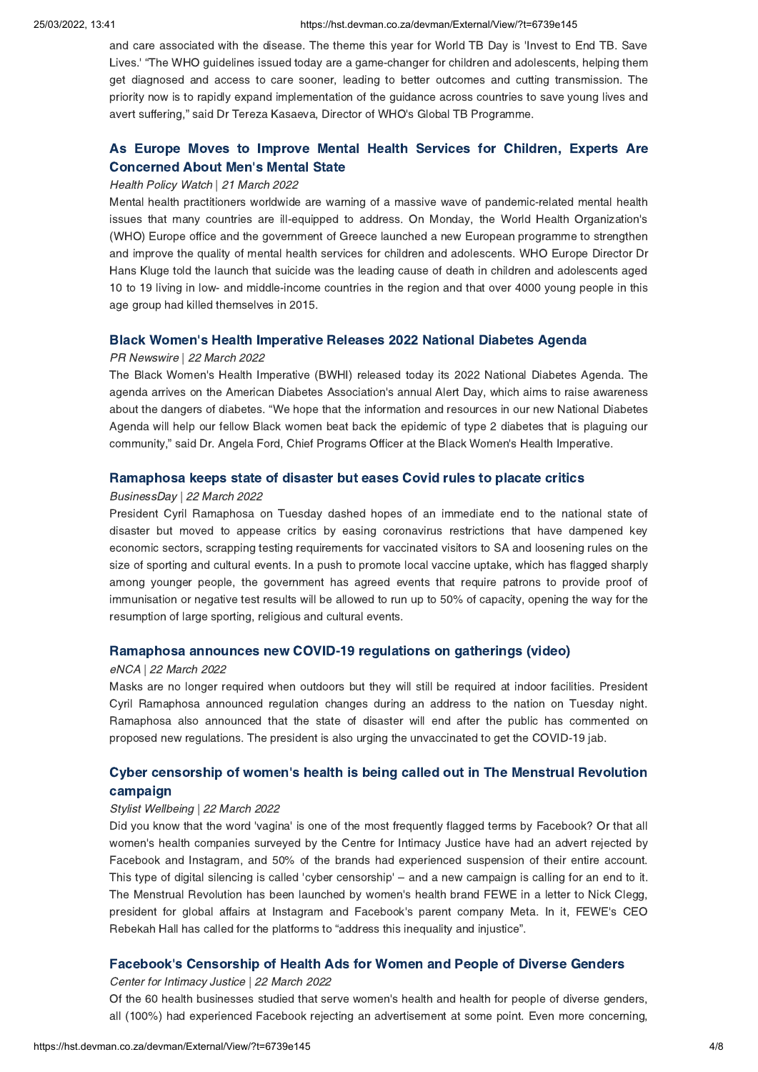and care associated with the disease. The theme this year for World TB Day is 'Invest to End TB. Save Lives.' "The WHO guidelines issued today are a game-changer for children and adolescents, helping them get diagnosed and access to care sooner, leading to better outcomes and cutting transmission. The priority now is to rapidly expand implementation of the guidance across countries to save young lives and avert suffering," said Dr Tereza Kasaeva, Director of WHO's Global TB Programme.

# As Europe Movement Mental Mental Mental Health Concerned About Men's Mental State<br>
Health Policy Watch | 21 March 2022

### Health Policy Watch | 21 March 2022

Mental health practitioners worldwide are warning of a massive wave of pandemic-related mental health issues that many countries are ill-equipped to address. On Monday, the World Health Organization's (WHO) Europe office and the government of Greece launched a new European programme to strengthen and improve the quality of mental health services for children and adolescents. WHO Europe Director Dr Hans Kluge told the launch that suicide was the leading cause of death in children and adolescents aged 10 to 19 living in low- and middle-income countries in the region and that over 4000 young people in this age group had killed themselves in 2015.

### Black Women['](https://hst.devman.co.za/devman/external/?t=a41f18e8)s Health Imperative Releases 2022 National Diabetes Agenda

### PR Newswire | 22 March 2022

The Black Women's Health Imperative (BWHI) released today its 2022 National Diabetes Agenda. The agenda arrives on the American Diabetes Association's annual Alert Day, which aims to raise awareness about the dangers of diabetes. "We hope that the information and resources in our new National Diabetes Agenda will help our fellow Black women beat back the epidemic of type 2 diabetes that is plaguing our community," said Dr. Angela Ford, Chief Programs Officer at the Black Women's Health Imperative.

# Ramaphosa keeps state of disaster but eases Covid rules to placate critics BusinessDay | 22 March 2022

President Cyril Ramaphosa on Tuesday dashed hopes of an immediate end to the national state of disaster but moved to appease critics by easing coronavirus restrictions that have dampened key economic sectors, scrapping testing requirements for vaccinated visitors to SA and loosening rules on the size of sporting and cultural events. In a push to promote local vaccine uptake, which has flagged sharply among younger people, the government has agreed events that require patrons to provide proof of immunisation or negative test results will be allowed to run up to 50% of capacity, opening the way for the resumption of large sporting, religious and cultural events.

# Ramaphosa announces new COVID-19 regulations on gatherings (video) eNCA | 22 March 2022

Masks are no longer required when outdoors but they will still be required at indoor facilities. President Cyril Ramaphosa announced regulation changes during an address to the nation on Tuesday night. Ramaphosa also announced that the state of disaster will end after the public has commented on proposed new regulations. The president is also urging the unvaccinated to get the COVID-19 jab.

# Cyber [censorship](https://hst.devman.co.za/devman/external/?t=dcc5c5c5) of women's health is being called out in The Menstrual Revolution

# campaign Stylist Wellbeing | 22 March 2022

Did you know that the word 'vagina' is one of the most frequently flagged terms by Facebook? Or that all women's health companies surveyed by the Centre for Intimacy Justice have had an advert rejected by Facebook and Instagram, and 50% of the brands had experienced suspension of their entire account. This type of digital silencing is called 'cyber censorship' – and a new campaign is calling for an end to it. The Menstrual Revolution has been launched by women's health brand FEWE in a letter to Nick Clegg, president for global affairs at Instagram and Facebook's parent company Meta. In it, FEWE's CEO Rebekah Hall has called for the platforms to "address this inequality and injustice".

### Facebook['](https://hst.devman.co.za/devman/external/?t=c4948a64)s Censorship of Health Ads for Women and People of Diverse Genders

Center for Intimacy Justice | 22 March 2022

Of the 60 health businesses studied that serve women's health and health for people of diverse genders, all (100%) had experienced Facebook rejecting an advertisement at some point. Even more concerning,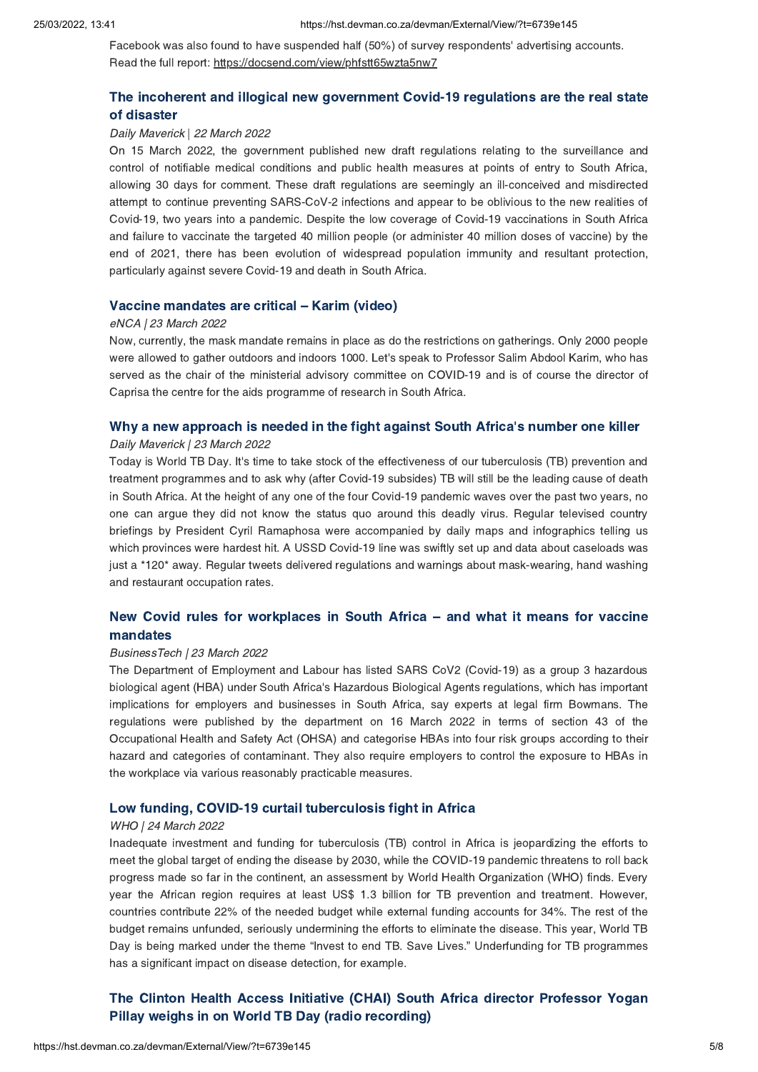Facebook was also found to have suspended half (50%) of survey respondents' advertising accounts. Read the full report: https://docsend.com/view/phfstt65wzta5nw7

# The incoherent and inegred new [government](https://hst.devman.co.za/devman/external/?t=d4b2ad87) Covid-19 regulations are the real states are the real states

# of disaster Daily Maverick | 22 March 2022

On 15 March 2022, the government published new draft regulations relating to the surveillance and control of notifiable medical conditions and public health measures at points of entry to South Africa, allowing 30 days for comment. These draft regulations are seemingly an ill-conceived and misdirected attempt to continue preventing SARS-CoV-2 infections and appear to be oblivious to the new realities of Covid-19, two years into a pandemic. Despite the low coverage of Covid-19 vaccinations in South Africa and failure to vaccinate the targeted 40 million people (or administer 40 million doses of vaccine) by the end of 2021, there has been evolution of widespread population immunity and resultant protection, particularly against severe Covid-19 and death in South Africa.

### Vaccine mandates are critical [–](https://hst.devman.co.za/devman/external/?t=332f3426) Karim (video)

### eNCA | 23 March 2022

Now, currently, the mask mandate remains in place as do the restrictions on gatherings. Only 2000 people were allowed to gather outdoors and indoors 1000. Let's speak to Professor Salim Abdool Karim, who has served as the chair of the ministerial advisory committee on COVID-19 and is of course the director of Caprisa the centre for the aids programme of research in South Africa.

### Why a new approach is needed in the fight against South Africa['](https://hst.devman.co.za/devman/external/?t=62b06f41)s number one killer

### Daily Maverick | 23 March 2022

Today is World TB Day. It's time to take stock of the effectiveness of our tuberculosis (TB) prevention and treatment programmes and to ask why (after Covid-19 subsides) TB will still be the leading cause of death in South Africa. At the height of any one of the four Covid-19 pandemic waves over the past two years, no one can argue they did not know the status quo around this deadly virus. Regular televised country briefings by President Cyril Ramaphosa were accompanied by daily maps and infographics telling us which provinces were hardest hit. A USSD Covid-19 line was swiftly set up and data about caseloads was just a \*120\* away. Regular tweets delivered regulations and warnings about mask-wearing, hand washing and restaurant occupation rates.

# New Covid rules for [workplaces](https://hst.devman.co.za/devman/external/?t=4a7f33e0) in South Africa – and what it means for vaccine

# mandates BusinessTech | 23 March 2022

The Department of Employment and Labour has listed SARS CoV2 (Covid-19) as a group 3 hazardous biological agent (HBA) under South Africa's Hazardous Biological Agents regulations, which has important implications for employers and businesses in South Africa, say experts at legal firm Bowmans. The regulations were published by the department on 16 March 2022 in terms of section 43 of the Occupational Health and Safety Act (OHSA) and categorise HBAs into four risk groups according to their hazard and categories of contaminant. They also require employers to control the exposure to HBAs in the workplace via various reasonably practicable measures.

# Low funding, COVID-19 curtail tuberculosis fight in Africa WHO | 24 March 2022

Inadequate investment and funding for tuberculosis (TB) control in Africa is jeopardizing the efforts to meet the global target of ending the disease by 2030, while the COVID-19 pandemic threatens to roll back progress made so far in the continent, an assessment by World Health Organization (WHO) finds. Every year the African region requires at least US\$ 1.3 billion for TB prevention and treatment. However, countries contribute 22% of the needed budget while external funding accounts for 34%. The rest of the budget remains unfunded, seriously undermining the efforts to eliminate the disease. This year, World TB Day is being marked under the theme "Invest to end TB. Save Lives." Underfunding for TB programmes has a significant impact on disease detection, for example.

# The Clinton Health Access Initiative (CHAI) South Africa director [Professor](https://hst.devman.co.za/devman/external/?t=f636f1e3) Yogan<br>Pillay weighs in on World TB Day (radio recording) Pillay weighs in on World TB Day (radio recording)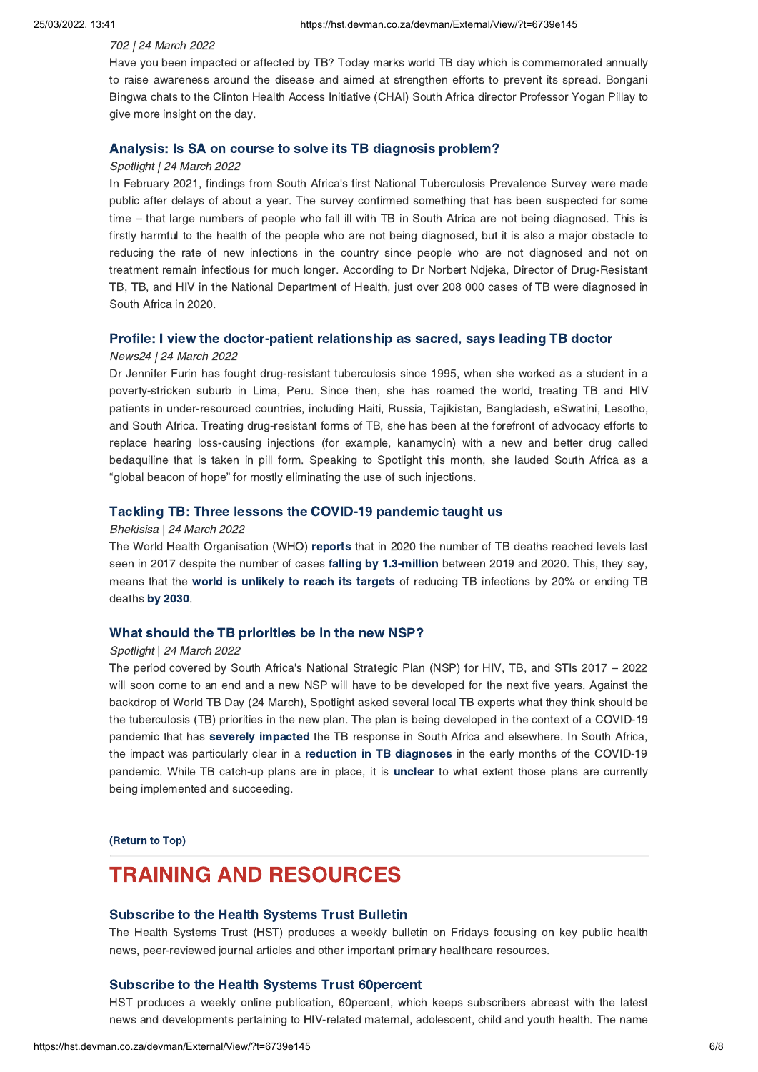### 702 | 24 March 2022

Have you been impacted or affected by TB? Today marks world TB day which is commemorated annually to raise awareness around the disease and aimed at strengthen efforts to prevent its spread. Bongani Bingwa chats to the Clinton Health Access Initiative (CHAI) South Africa director Professor Yogan Pillay to give more insight on the day.

# Analysis: Is SA on course to solve its TB diagnosis problem? Spotlight | 24 March 2022

In February 2021, findings from South Africa's first National Tuberculosis Prevalence Survey were made public after delays of about a year. The survey confirmed something that has been suspected for some time – that large numbers of people who fall ill with TB in South Africa are not being diagnosed. This is firstly harmful to the health of the people who are not being diagnosed, but it is also a major obstacle to reducing the rate of new infections in the country since people who are not diagnosed and not on treatment remain infectious for much longer. According to Dr Norbert Ndjeka, Director of Drug-Resistant TB, TB, and HIV in the National Department of Health, just over 208 000 cases of TB were diagnosed in South Africa in 2020.

# News24 | 24 March 2022

Dr Jennifer Furin has fought drug-resistant tuberculosis since 1995, when she worked as a student in a poverty-stricken suburb in Lima, Peru. Since then, she has roamed the world, treating TB and HIV patients in under-resourced countries, including Haiti, Russia, Tajikistan, Bangladesh, eSwatini, Lesotho, and South Africa. Treating drug-resistant forms of TB, she has been at the forefront of advocacy efforts to replace hearing loss-causing injections (for example, kanamycin) with a new and better drug called bedaquiline that is taken in pill form. Speaking to Spotlight this month, she lauded South Africa as a "global beacon of hope" for mostly eliminating the use of such injections.

# Tackling TB: Three lessons the COVID-19 pandemic taught us Bhekisisa | 24 March 2022

The World Health Organisation (WHO) **re[ports](https://hst.devman.co.za/devman/external/?t=26ca8682)** that in 2020 the number of TB deaths reached levels last<br>seen in 2017 despite the number of cases **falling by 1.3-million** between 2019 and 2020. This, they say, seen in 2017 despite the number of cases **[falling](https://hst.devman.co.za/devman/external/?t=16ac635f) by 1.3-million** between 2019 and 2020. This, they say,<br>means that the **world is unlikelv to reach its targets** of reducing TB infections by 20% or ending TB means that the world is unlikely to reach its targets of reducing TB infections by 20% or ending TB<br>deaths by 2030. deaths **by 2030**[.](https://hst.devman.co.za/devman/external/?t=85470d21)

# What should the TB priorities be in the new NSP? Spotlight | 24 March 2022

The period covered by South Africa's National Strategic Plan (NSP) for HIV, TB, and STIs 2017 – 2022 will soon come to an end and a new NSP will have to be developed for the next five years. Against the backdrop of World TB Day (24 March), Spotlight asked several local TB experts what they think should be the tuberculosis (TB) priorities in the new plan. The plan is being developed in the context of a COVID-19 pan[d](https://hst.devman.co.za/devman/external/?t=543759bf)emic that has **severely impacted** the TB response in South Africa and elsewhere. In South Africa,<br>the impact was particularly clear in a **reduction in TB diagnoses** in the early months of the COVID-19 the impact was particularly clear in a **reduction in TB [diagnos](https://hst.devman.co.za/devman/external/?t=3c061e5e)es** in the early months of the COVID-19<br>pandemic. While TB catch-up plans are in place, it is **unclear** to what extent those plans are currentlv pandemic. While TB catch-up plans are in place, it is **unclear** to what extent those plans are currently<br>being implemented and succeeding. being implemented and succeeding.

### (Return to Top) (Return to Top)

# <span id="page-5-0"></span>**TRAINING AND RESOURCES**

### Subscribe to the Health Systems Trust Bulletin

Subscribe to the Health Systems Trust Bulletin The Health Systems Trust (HST) produces a weekly bulletin on Fridays focusing on key public health news, peer-reviewed journal articles and other important primary healthcare resources.

HST produces a weekly online publication, 60percent, which keeps subscribers abreast with the latest news and developments pertaining to HIV-related maternal, adolescent, child and youth health. The name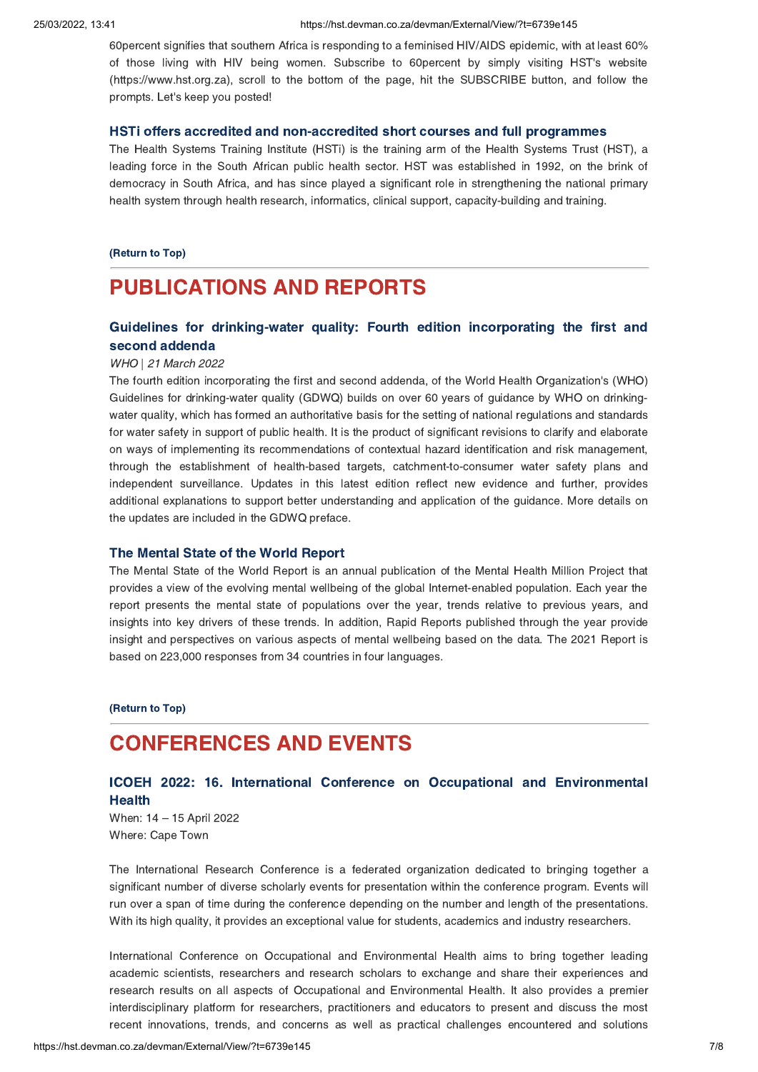60percent signifies that southern Africa is responding to a feminised HIV/AIDS epidemic, with at least 60% of those living with HIV being women. Subscribe to 60percent by simply visiting HST's website (https://www.hst.org.za), scroll to the bottom of the page, hit the SUBSCRIBE button, and follow the prompts. Let's keep you posted!

The Health Systems Training Institute (HSTi) is the training arm of the Health Systems Trust (HST), a leading force in the South African public health sector. HST was established in 1992, on the brink of democracy in South Africa, and has since played a significant role in strengthening the national primary health system through health research, informatics, clinical support, capacity-building and training.

### (Return to Top)

# **PUBLICATIONS AND REPORTS**

## Guidelines for drinking-water quality: Fourth edition incorporating the first and second addenda

# WHO | 21 March 2022

The fourth edition incorporating the first and second addenda, of the World Health Organization's (WHO) Guidelines for drinking-water quality (GDWQ) builds on over 60 years of guidance by WHO on drinkingwater quality, which has formed an authoritative basis for the setting of national regulations and standards for water safety in support of public health. It is the product of significant revisions to clarify and elaborate on ways of implementing its recommendations of contextual hazard identification and risk management, through the establishment of health-based targets, catchment-to-consumer water safety plans and independent surveillance. Updates in this latest edition reflect new evidence and further, provides additional explanations to support better understanding and application of the guidance. More details on the updates are included in the GDWQ preface.

The Mental State of the World Report The Mental State of the World Report is an annual publication of the Mental Health Million Project that provides a view of the evolving mental wellbeing of the global Internet-enabled population. Each year the report presents the mental state of populations over the year, trends relative to previous years, and insights into key drivers of these trends. In addition, Rapid Reports published through the year provide insight and perspectives on various aspects of mental wellbeing based on the data. The 2021 Report is based on 223,000 responses from 34 countries in four languages.

(Return to Top)

# <span id="page-6-0"></span>**CONFERENCES AND EVENTS**

## ICOEH 2022: 16. International Conference on Occupational and Environmental ICOEH 2022: 16. International Conference on Occupational and Environmental

Health When: 14 – 15 April 2022 Where: Cape Town

The International Research Conference is a federated organization dedicated to bringing together a significant number of diverse scholarly events for presentation within the conference program. Events will run over a span of time during the conference depending on the number and length of the presentations. With its high quality, it provides an exceptional value for students, academics and industry researchers.

International Conference on Occupational and Environmental Health aims to bring together leading academic scientists, researchers and research scholars to exchange and share their experiences and research results on all aspects of Occupational and Environmental Health. It also provides a premier interdisciplinary platform for researchers, practitioners and educators to present and discuss the most recent innovations, trends, and concerns as well as practical challenges encountered and solutions